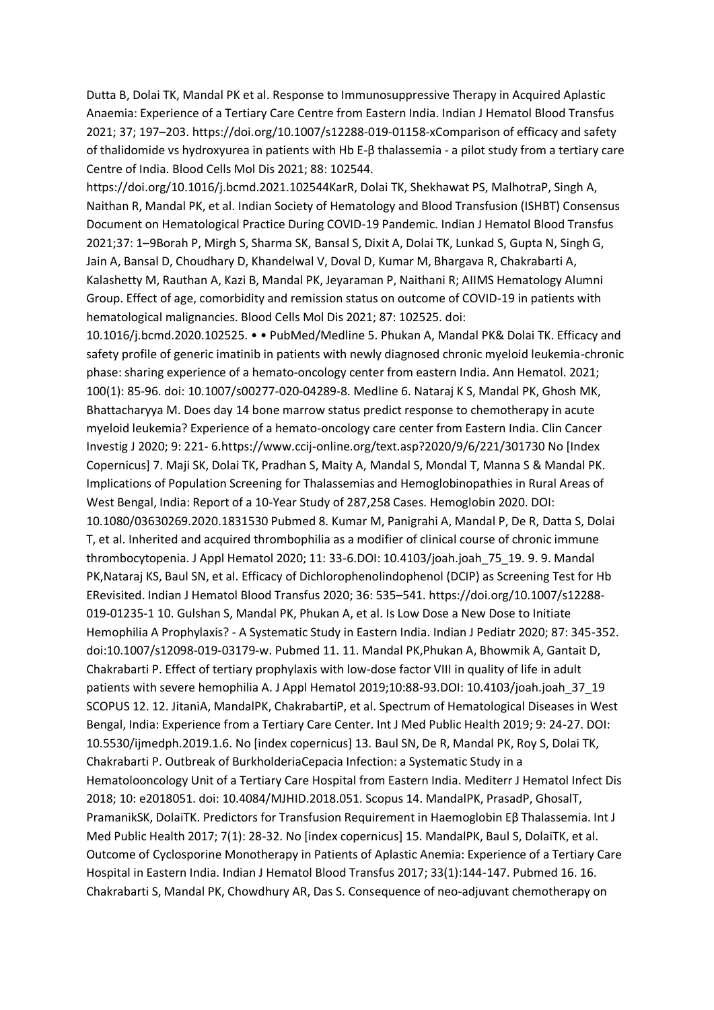Dutta B, Dolai TK, Mandal PK et al. Response to Immunosuppressive Therapy in Acquired Aplastic Anaemia: Experience of a Tertiary Care Centre from Eastern India. Indian J Hematol Blood Transfus 2021; 37; 197–203. https://doi.org/10.1007/s12288-019-01158-xComparison of efficacy and safety of thalidomide vs hydroxyurea in patients with Hb E-β thalassemia - a pilot study from a tertiary care Centre of India. Blood Cells Mol Dis 2021; 88: 102544.

https://doi.org/10.1016/j.bcmd.2021.102544KarR, Dolai TK, Shekhawat PS, MalhotraP, Singh A, Naithan R, Mandal PK, et al. Indian Society of Hematology and Blood Transfusion (ISHBT) Consensus Document on Hematological Practice During COVID-19 Pandemic. Indian J Hematol Blood Transfus 2021;37: 1–9Borah P, Mirgh S, Sharma SK, Bansal S, Dixit A, Dolai TK, Lunkad S, Gupta N, Singh G, Jain A, Bansal D, Choudhary D, Khandelwal V, Doval D, Kumar M, Bhargava R, Chakrabarti A, Kalashetty M, Rauthan A, Kazi B, Mandal PK, Jeyaraman P, Naithani R; AIIMS Hematology Alumni Group. Effect of age, comorbidity and remission status on outcome of COVID-19 in patients with hematological malignancies. Blood Cells Mol Dis 2021; 87: 102525. doi:

10.1016/j.bcmd.2020.102525. • • PubMed/Medline 5. Phukan A, Mandal PK& Dolai TK. Efficacy and safety profile of generic imatinib in patients with newly diagnosed chronic myeloid leukemia-chronic phase: sharing experience of a hemato-oncology center from eastern India. Ann Hematol. 2021; 100(1): 85-96. doi: 10.1007/s00277-020-04289-8. Medline 6. Nataraj K S, Mandal PK, Ghosh MK, Bhattacharyya M. Does day 14 bone marrow status predict response to chemotherapy in acute myeloid leukemia? Experience of a hemato-oncology care center from Eastern India. Clin Cancer Investig J 2020; 9: 221- 6.https://www.ccij-online.org/text.asp?2020/9/6/221/301730 No [Index Copernicus] 7. Maji SK, Dolai TK, Pradhan S, Maity A, Mandal S, Mondal T, Manna S & Mandal PK. Implications of Population Screening for Thalassemias and Hemoglobinopathies in Rural Areas of West Bengal, India: Report of a 10-Year Study of 287,258 Cases. Hemoglobin 2020. DOI: 10.1080/03630269.2020.1831530 Pubmed 8. Kumar M, Panigrahi A, Mandal P, De R, Datta S, Dolai T, et al. Inherited and acquired thrombophilia as a modifier of clinical course of chronic immune thrombocytopenia. J Appl Hematol 2020; 11: 33-6.DOI: 10.4103/joah.joah\_75\_19. 9. 9. Mandal PK, Nataraj KS, Baul SN, et al. Efficacy of Dichlorophenolindophenol (DCIP) as Screening Test for Hb ERevisited. Indian J Hematol Blood Transfus 2020; 36: 535–541. https://doi.org/10.1007/s12288- 019-01235-1 10. Gulshan S, Mandal PK, Phukan A, et al. Is Low Dose a New Dose to Initiate Hemophilia A Prophylaxis? - A Systematic Study in Eastern India. Indian J Pediatr 2020; 87: 345-352. doi:10.1007/s12098-019-03179-w. Pubmed 11. 11. Mandal PK,Phukan A, Bhowmik A, Gantait D, Chakrabarti P. Effect of tertiary prophylaxis with low-dose factor VIII in quality of life in adult patients with severe hemophilia A. J Appl Hematol 2019;10:88-93.DOI: 10.4103/joah.joah\_37\_19 SCOPUS 12. 12. JitaniA, MandalPK, ChakrabartiP, et al. Spectrum of Hematological Diseases in West Bengal, India: Experience from a Tertiary Care Center. Int J Med Public Health 2019; 9: 24-27. DOI: 10.5530/ijmedph.2019.1.6. No [index copernicus] 13. Baul SN, De R, Mandal PK, Roy S, Dolai TK, Chakrabarti P. Outbreak of BurkholderiaCepacia Infection: a Systematic Study in a Hematolooncology Unit of a Tertiary Care Hospital from Eastern India. Mediterr J Hematol Infect Dis 2018; 10: e2018051. doi: 10.4084/MJHID.2018.051. Scopus 14. MandalPK, PrasadP, GhosalT, PramanikSK, DolaiTK. Predictors for Transfusion Requirement in Haemoglobin Eβ Thalassemia. Int J Med Public Health 2017; 7(1): 28-32. No [index copernicus] 15. MandalPK, Baul S, DolaiTK, et al. Outcome of Cyclosporine Monotherapy in Patients of Aplastic Anemia: Experience of a Tertiary Care Hospital in Eastern India. Indian J Hematol Blood Transfus 2017; 33(1):144-147. Pubmed 16. 16. Chakrabarti S, Mandal PK, Chowdhury AR, Das S. Consequence of neo-adjuvant chemotherapy on